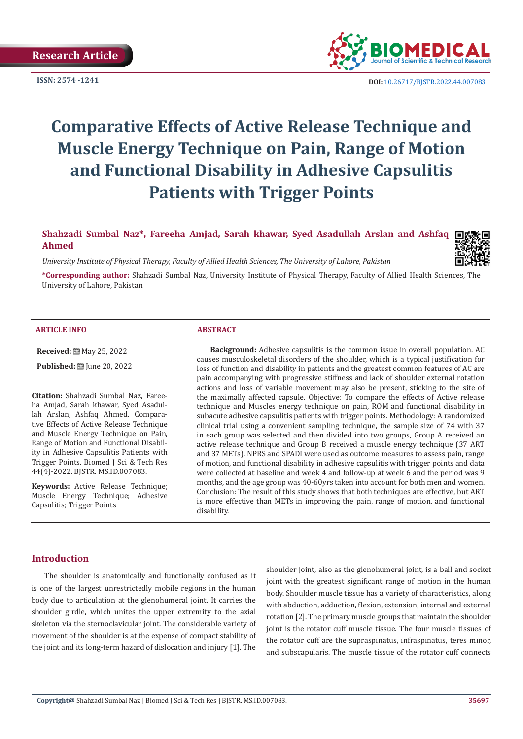

**ISSN:** 2574 -1241 **DOI:** [10.26717/BJSTR.2022.44.007083](https://dx.doi.org/10.26717/BJSTR.2022.44.007083)

# **Comparative Effects of Active Release Technique and Muscle Energy Technique on Pain, Range of Motion and Functional Disability in Adhesive Capsulitis Patients with Trigger Points**

**Shahzadi Sumbal Naz\*, Fareeha Amjad, Sarah khawar, Syed Asadullah Arslan and Ashfaq Ahmed**

*University Institute of Physical Therapy, Faculty of Allied Health Sciences, The University of Lahore, Pakistan*

**\*Corresponding author:** Shahzadi Sumbal Naz, University Institute of Physical Therapy, Faculty of Allied Health Sciences, The University of Lahore, Pakistan

#### **ARTICLE INFO ABSTRACT**

**Received:** 圖 May 25, 2022

**Published:** [Une 20, 2022]

**Citation:** Shahzadi Sumbal Naz, Fareeha Amjad, Sarah khawar, Syed Asadullah Arslan, Ashfaq Ahmed. Comparative Effects of Active Release Technique and Muscle Energy Technique on Pain, Range of Motion and Functional Disability in Adhesive Capsulitis Patients with Trigger Points. Biomed J Sci & Tech Res 44(4)-2022. BJSTR. MS.ID.007083.

**Keywords:** Active Release Technique; Muscle Energy Technique; Adhesive Capsulitis; Trigger Points

**Background:** Adhesive capsulitis is the common issue in overall population. AC causes musculoskeletal disorders of the shoulder, which is a typical justification for loss of function and disability in patients and the greatest common features of AC are pain accompanying with progressive stiffness and lack of shoulder external rotation actions and loss of variable movement may also be present, sticking to the site of the maximally affected capsule. Objective: To compare the effects of Active release technique and Muscles energy technique on pain, ROM and functional disability in subacute adhesive capsulitis patients with trigger points. Methodology: A randomized clinical trial using a convenient sampling technique, the sample size of 74 with 37 in each group was selected and then divided into two groups, Group A received an active release technique and Group B received a muscle energy technique (37 ART and 37 METs). NPRS and SPADI were used as outcome measures to assess pain, range of motion, and functional disability in adhesive capsulitis with trigger points and data were collected at baseline and week 4 and follow-up at week 6 and the period was 9 months, and the age group was 40-60yrs taken into account for both men and women. Conclusion: The result of this study shows that both techniques are effective, but ART is more effective than METs in improving the pain, range of motion, and functional disability.

### **Introduction**

The shoulder is anatomically and functionally confused as it is one of the largest unrestrictedly mobile regions in the human body due to articulation at the glenohumeral joint. It carries the shoulder girdle, which unites the upper extremity to the axial skeleton via the sternoclavicular joint. The considerable variety of movement of the shoulder is at the expense of compact stability of the joint and its long-term hazard of dislocation and injury [1]. The

shoulder joint, also as the glenohumeral joint, is a ball and socket joint with the greatest significant range of motion in the human body. Shoulder muscle tissue has a variety of characteristics, along with abduction, adduction, flexion, extension, internal and external rotation [2]. The primary muscle groups that maintain the shoulder joint is the rotator cuff muscle tissue. The four muscle tissues of the rotator cuff are the supraspinatus, infraspinatus, teres minor, and subscapularis. The muscle tissue of the rotator cuff connects

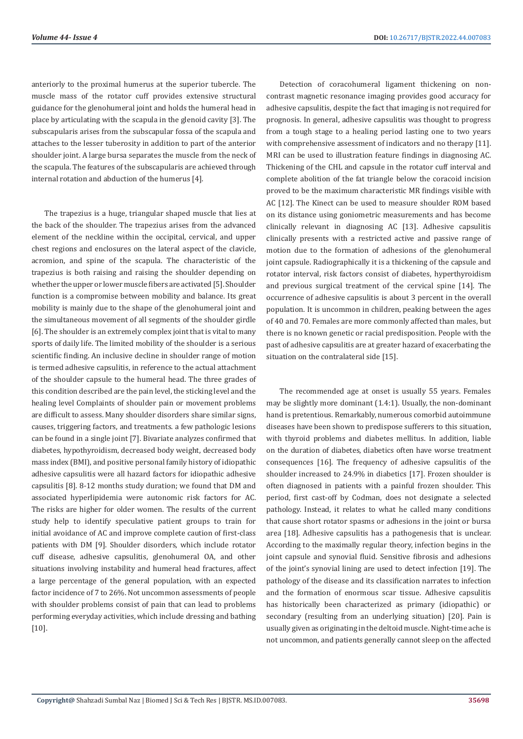anteriorly to the proximal humerus at the superior tubercle. The muscle mass of the rotator cuff provides extensive structural guidance for the glenohumeral joint and holds the humeral head in place by articulating with the scapula in the glenoid cavity [3]. The subscapularis arises from the subscapular fossa of the scapula and attaches to the lesser tuberosity in addition to part of the anterior shoulder joint. A large bursa separates the muscle from the neck of the scapula. The features of the subscapularis are achieved through internal rotation and abduction of the humerus [4].

The trapezius is a huge, triangular shaped muscle that lies at the back of the shoulder. The trapezius arises from the advanced element of the neckline within the occipital, cervical, and upper chest regions and enclosures on the lateral aspect of the clavicle, acromion, and spine of the scapula. The characteristic of the trapezius is both raising and raising the shoulder depending on whether the upper or lower muscle fibers are activated [5]. Shoulder function is a compromise between mobility and balance. Its great mobility is mainly due to the shape of the glenohumeral joint and the simultaneous movement of all segments of the shoulder girdle [6]. The shoulder is an extremely complex joint that is vital to many sports of daily life. The limited mobility of the shoulder is a serious scientific finding. An inclusive decline in shoulder range of motion is termed adhesive capsulitis, in reference to the actual attachment of the shoulder capsule to the humeral head. The three grades of this condition described are the pain level, the sticking level and the healing level Complaints of shoulder pain or movement problems are difficult to assess. Many shoulder disorders share similar signs, causes, triggering factors, and treatments. a few pathologic lesions can be found in a single joint [7]. Bivariate analyzes confirmed that diabetes, hypothyroidism, decreased body weight, decreased body mass index (BMI), and positive personal family history of idiopathic adhesive capsulitis were all hazard factors for idiopathic adhesive capsulitis [8]. 8-12 months study duration; we found that DM and associated hyperlipidemia were autonomic risk factors for AC. The risks are higher for older women. The results of the current study help to identify speculative patient groups to train for initial avoidance of AC and improve complete caution of first-class patients with DM [9]. Shoulder disorders, which include rotator cuff disease, adhesive capsulitis, glenohumeral OA, and other situations involving instability and humeral head fractures, affect a large percentage of the general population, with an expected factor incidence of 7 to 26%. Not uncommon assessments of people with shoulder problems consist of pain that can lead to problems performing everyday activities, which include dressing and bathing [10].

Detection of coracohumeral ligament thickening on noncontrast magnetic resonance imaging provides good accuracy for adhesive capsulitis, despite the fact that imaging is not required for prognosis. In general, adhesive capsulitis was thought to progress from a tough stage to a healing period lasting one to two years with comprehensive assessment of indicators and no therapy [11]. MRI can be used to illustration feature findings in diagnosing AC. Thickening of the CHL and capsule in the rotator cuff interval and complete abolition of the fat triangle below the coracoid incision proved to be the maximum characteristic MR findings visible with AC [12]. The Kinect can be used to measure shoulder ROM based on its distance using goniometric measurements and has become clinically relevant in diagnosing AC [13]. Adhesive capsulitis clinically presents with a restricted active and passive range of motion due to the formation of adhesions of the glenohumeral joint capsule. Radiographically it is a thickening of the capsule and rotator interval, risk factors consist of diabetes, hyperthyroidism and previous surgical treatment of the cervical spine [14]. The occurrence of adhesive capsulitis is about 3 percent in the overall population. It is uncommon in children, peaking between the ages of 40 and 70. Females are more commonly affected than males, but there is no known genetic or racial predisposition. People with the past of adhesive capsulitis are at greater hazard of exacerbating the situation on the contralateral side [15].

The recommended age at onset is usually 55 years. Females may be slightly more dominant (1.4:1). Usually, the non-dominant hand is pretentious. Remarkably, numerous comorbid autoimmune diseases have been shown to predispose sufferers to this situation, with thyroid problems and diabetes mellitus. In addition, liable on the duration of diabetes, diabetics often have worse treatment consequences [16]. The frequency of adhesive capsulitis of the shoulder increased to 24.9% in diabetics [17]. Frozen shoulder is often diagnosed in patients with a painful frozen shoulder. This period, first cast-off by Codman, does not designate a selected pathology. Instead, it relates to what he called many conditions that cause short rotator spasms or adhesions in the joint or bursa area [18]. Adhesive capsulitis has a pathogenesis that is unclear. According to the maximally regular theory, infection begins in the joint capsule and synovial fluid. Sensitive fibrosis and adhesions of the joint's synovial lining are used to detect infection [19]. The pathology of the disease and its classification narrates to infection and the formation of enormous scar tissue. Adhesive capsulitis has historically been characterized as primary (idiopathic) or secondary (resulting from an underlying situation) [20]. Pain is usually given as originating in the deltoid muscle. Night-time ache is not uncommon, and patients generally cannot sleep on the affected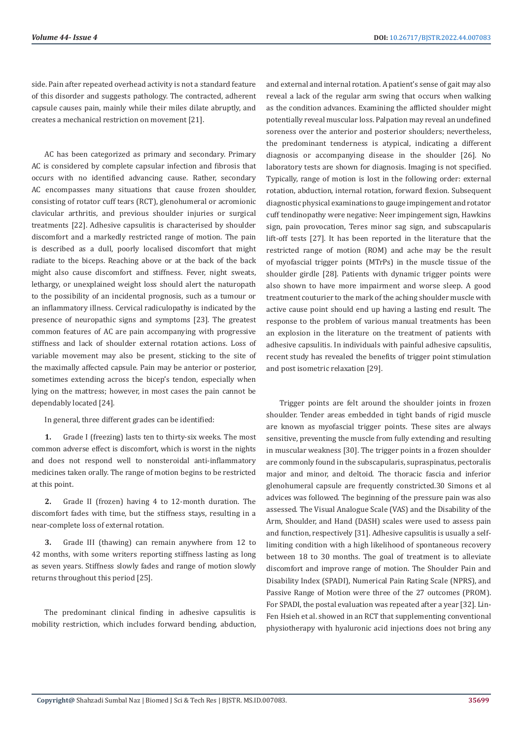side. Pain after repeated overhead activity is not a standard feature of this disorder and suggests pathology. The contracted, adherent capsule causes pain, mainly while their miles dilate abruptly, and creates a mechanical restriction on movement [21].

AC has been categorized as primary and secondary. Primary AC is considered by complete capsular infection and fibrosis that occurs with no identified advancing cause. Rather, secondary AC encompasses many situations that cause frozen shoulder, consisting of rotator cuff tears (RCT), glenohumeral or acromionic clavicular arthritis, and previous shoulder injuries or surgical treatments [22]. Adhesive capsulitis is characterised by shoulder discomfort and a markedly restricted range of motion. The pain is described as a dull, poorly localised discomfort that might radiate to the biceps. Reaching above or at the back of the back might also cause discomfort and stiffness. Fever, night sweats, lethargy, or unexplained weight loss should alert the naturopath to the possibility of an incidental prognosis, such as a tumour or an inflammatory illness. Cervical radiculopathy is indicated by the presence of neuropathic signs and symptoms [23]. The greatest common features of AC are pain accompanying with progressive stiffness and lack of shoulder external rotation actions. Loss of variable movement may also be present, sticking to the site of the maximally affected capsule. Pain may be anterior or posterior, sometimes extending across the bicep's tendon, especially when lying on the mattress; however, in most cases the pain cannot be dependably located [24].

In general, three different grades can be identified:

**1.** Grade I (freezing) lasts ten to thirty-six weeks. The most common adverse effect is discomfort, which is worst in the nights and does not respond well to nonsteroidal anti-inflammatory medicines taken orally. The range of motion begins to be restricted at this point.

**2.** Grade II (frozen) having 4 to 12-month duration. The discomfort fades with time, but the stiffness stays, resulting in a near-complete loss of external rotation.

**3.** Grade III (thawing) can remain anywhere from 12 to 42 months, with some writers reporting stiffness lasting as long as seven years. Stiffness slowly fades and range of motion slowly returns throughout this period [25].

The predominant clinical finding in adhesive capsulitis is mobility restriction, which includes forward bending, abduction, and external and internal rotation. A patient's sense of gait may also reveal a lack of the regular arm swing that occurs when walking as the condition advances. Examining the afflicted shoulder might potentially reveal muscular loss. Palpation may reveal an undefined soreness over the anterior and posterior shoulders; nevertheless, the predominant tenderness is atypical, indicating a different diagnosis or accompanying disease in the shoulder [26]. No laboratory tests are shown for diagnosis. Imaging is not specified. Typically, range of motion is lost in the following order: external rotation, abduction, internal rotation, forward flexion. Subsequent diagnostic physical examinations to gauge impingement and rotator cuff tendinopathy were negative: Neer impingement sign, Hawkins sign, pain provocation, Teres minor sag sign, and subscapularis lift-off tests [27]. It has been reported in the literature that the restricted range of motion (ROM) and ache may be the result of myofascial trigger points (MTrPs) in the muscle tissue of the shoulder girdle [28]. Patients with dynamic trigger points were also shown to have more impairment and worse sleep. A good treatment couturier to the mark of the aching shoulder muscle with active cause point should end up having a lasting end result. The response to the problem of various manual treatments has been an explosion in the literature on the treatment of patients with adhesive capsulitis. In individuals with painful adhesive capsulitis, recent study has revealed the benefits of trigger point stimulation and post isometric relaxation [29].

Trigger points are felt around the shoulder joints in frozen shoulder. Tender areas embedded in tight bands of rigid muscle are known as myofascial trigger points. These sites are always sensitive, preventing the muscle from fully extending and resulting in muscular weakness [30]. The trigger points in a frozen shoulder are commonly found in the subscapularis, supraspinatus, pectoralis major and minor, and deltoid. The thoracic fascia and inferior glenohumeral capsule are frequently constricted.30 Simons et al advices was followed. The beginning of the pressure pain was also assessed. The Visual Analogue Scale (VAS) and the Disability of the Arm, Shoulder, and Hand (DASH) scales were used to assess pain and function, respectively [31]. Adhesive capsulitis is usually a selflimiting condition with a high likelihood of spontaneous recovery between 18 to 30 months. The goal of treatment is to alleviate discomfort and improve range of motion. The Shoulder Pain and Disability Index (SPADI), Numerical Pain Rating Scale (NPRS), and Passive Range of Motion were three of the 27 outcomes (PROM). For SPADI, the postal evaluation was repeated after a year [32]. Lin-Fen Hsieh et al. showed in an RCT that supplementing conventional physiotherapy with hyaluronic acid injections does not bring any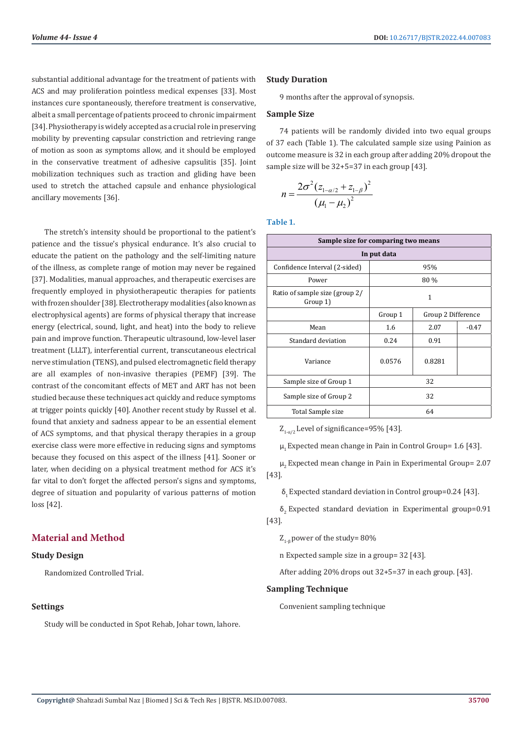substantial additional advantage for the treatment of patients with ACS and may proliferation pointless medical expenses [33]. Most instances cure spontaneously, therefore treatment is conservative, albeit a small percentage of patients proceed to chronic impairment [34]. Physiotherapy is widely accepted as a crucial role in preserving mobility by preventing capsular constriction and retrieving range of motion as soon as symptoms allow, and it should be employed in the conservative treatment of adhesive capsulitis [35]. Joint mobilization techniques such as traction and gliding have been used to stretch the attached capsule and enhance physiological ancillary movements [36].

The stretch's intensity should be proportional to the patient's patience and the tissue's physical endurance. It's also crucial to educate the patient on the pathology and the self-limiting nature of the illness, as complete range of motion may never be regained [37]. Modalities, manual approaches, and therapeutic exercises are frequently employed in physiotherapeutic therapies for patients with frozen shoulder [38]. Electrotherapy modalities (also known as electrophysical agents) are forms of physical therapy that increase energy (electrical, sound, light, and heat) into the body to relieve pain and improve function. Therapeutic ultrasound, low-level laser treatment (LLLT), interferential current, transcutaneous electrical nerve stimulation (TENS), and pulsed electromagnetic field therapy are all examples of non-invasive therapies (PEMF) [39]. The contrast of the concomitant effects of MET and ART has not been studied because these techniques act quickly and reduce symptoms at trigger points quickly [40]. Another recent study by Russel et al. found that anxiety and sadness appear to be an essential element of ACS symptoms, and that physical therapy therapies in a group exercise class were more effective in reducing signs and symptoms because they focused on this aspect of the illness [41]. Sooner or later, when deciding on a physical treatment method for ACS it's far vital to don't forget the affected person's signs and symptoms, degree of situation and popularity of various patterns of motion loss [42].

# **Material and Method**

# **Study Design**

Randomized Controlled Trial.

#### **Settings**

Study will be conducted in Spot Rehab, Johar town, lahore.

#### **Study Duration**

9 months after the approval of synopsis.

#### **Sample Size**

74 patients will be randomly divided into two equal groups of 37 each (Table 1). The calculated sample size using Painion as outcome measure is 32 in each group after adding 20% dropout the sample size will be 32+5=37 in each group [43].

$$
n = \frac{2\sigma^2 (z_{1-\alpha/2} + z_{1-\beta})^2}{(\mu_1 - \mu_2)^2}
$$

**Table 1.**

| Sample size for comparing two means        |                               |        |         |  |
|--------------------------------------------|-------------------------------|--------|---------|--|
|                                            | In put data                   |        |         |  |
| Confidence Interval (2-sided)              |                               | 95%    |         |  |
| Power                                      |                               | 80 %   |         |  |
| Ratio of sample size (group 2/<br>Group 1) | 1                             |        |         |  |
|                                            | Group 1<br>Group 2 Difference |        |         |  |
| Mean                                       | 1.6                           | 2.07   | $-0.47$ |  |
| Standard deviation                         | 0.24                          | 0.91   |         |  |
| Variance                                   | 0.0576                        | 0.8281 |         |  |
| 32<br>Sample size of Group 1               |                               |        |         |  |
| Sample size of Group 2                     | 32                            |        |         |  |
| Total Sample size                          |                               | 64     |         |  |

 $Z_{1-\alpha/2}$  Level of significance=95% [43].

 $\mu$ <sub>1</sub> Expected mean change in Pain in Control Group= 1.6 [43].

 $\mu$ , Expected mean change in Pain in Experimental Group= 2.07 [43].

 $\delta$ <sub>1</sub> Expected standard deviation in Control group=0.24 [43].

 $\delta$ <sub>2</sub> Expected standard deviation in Experimental group=0.91 [43].

 $Z_{1-8}$  power of the study= 80%

n Expected sample size in a group= 32 [43].

After adding 20% drops out 32+5=37 in each group. [43].

# **Sampling Technique**

Convenient sampling technique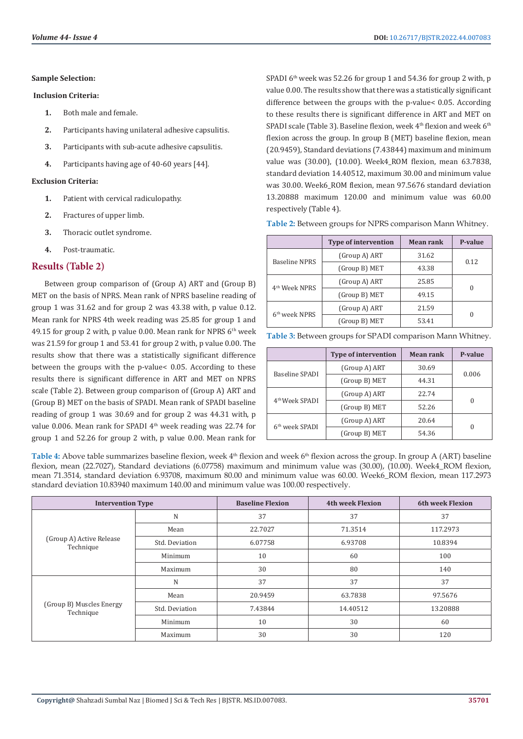#### **Sample Selection:**

#### **Inclusion Criteria:**

- **1.** Both male and female.
- **2.** Participants having unilateral adhesive capsulitis.
- **3.** Participants with sub-acute adhesive capsulitis.
- **4.** Participants having age of 40-60 years [44].

#### **Exclusion Criteria:**

- **1.** Patient with cervical radiculopathy.
- **2.** Fractures of upper limb.
- **3.** Thoracic outlet syndrome.
- **4.** Post-traumatic.

# **Results (Table 2)**

Between group comparison of (Group A) ART and (Group B) MET on the basis of NPRS. Mean rank of NPRS baseline reading of group 1 was 31.62 and for group 2 was 43.38 with, p value 0.12. Mean rank for NPRS 4th week reading was 25.85 for group 1 and 49.15 for group 2 with, p value 0.00. Mean rank for NPRS 6<sup>th</sup> week was 21.59 for group 1 and 53.41 for group 2 with, p value 0.00. The results show that there was a statistically significant difference between the groups with the p-value< 0.05. According to these results there is significant difference in ART and MET on NPRS scale (Table 2). Between group comparison of (Group A) ART and (Group B) MET on the basis of SPADI. Mean rank of SPADI baseline reading of group 1 was 30.69 and for group 2 was 44.31 with, p value 0.006. Mean rank for SPADI 4<sup>th</sup> week reading was 22.74 for group 1 and 52.26 for group 2 with, p value 0.00. Mean rank for

SPADI  $6<sup>th</sup>$  week was 52.26 for group 1 and 54.36 for group 2 with, p value 0.00. The results show that there was a statistically significant difference between the groups with the p-value< 0.05. According to these results there is significant difference in ART and MET on SPADI scale (Table 3). Baseline flexion, week 4<sup>th</sup> flexion and week 6<sup>th</sup> flexion across the group. In group B (MET) baseline flexion, mean (20.9459), Standard deviations (7.43844) maximum and minimum value was (30.00), (10.00). Week4\_ROM flexion, mean 63.7838, standard deviation 14.40512, maximum 30.00 and minimum value was 30.00. Week6\_ROM flexion, mean 97.5676 standard deviation 13.20888 maximum 120.00 and minimum value was 60.00 respectively (Table 4).

**Table 2:** Between groups for NPRS comparison Mann Whitney.

|                           | <b>Type of intervention</b> | Mean rank | P-value  |
|---------------------------|-----------------------------|-----------|----------|
|                           | (Group A) ART               | 31.62     |          |
| Baseline NPRS             | (Group B) MET               | 43.38     | 0.12     |
| 4 <sup>th</sup> Week NPRS | (Group A) ART               | 25.85     | $\theta$ |
|                           | (Group B) MET               | 49.15     |          |
| 6 <sup>th</sup> week NPRS | (Group A) ART               | 21.59     | $\Omega$ |
|                           | (Group B) MET               | 53.41     |          |

| Table 3: Between groups for SPADI comparison Mann Whitney. |  |  |  |
|------------------------------------------------------------|--|--|--|
|------------------------------------------------------------|--|--|--|

|                            | <b>Type of intervention</b> | Mean rank | P-value  |
|----------------------------|-----------------------------|-----------|----------|
|                            | (Group A) ART               | 30.69     |          |
| Baseline SPADI             | (Group B) MET               | 44.31     | 0.006    |
| 4 <sup>th</sup> Week SPADI | (Group A) ART               | 22.74     |          |
|                            | (Group B) MET               | 52.26     | $\Omega$ |
| 6 <sup>th</sup> week SPADI | (Group A) ART<br>20.64      |           |          |
|                            | (Group B) MET               | 54.36     | $\theta$ |

Table 4: Above table summarizes baseline flexion, week 4<sup>th</sup> flexion and week 6<sup>th</sup> flexion across the group. In group A (ART) baseline flexion, mean (22.7027), Standard deviations (6.07758) maximum and minimum value was (30.00), (10.00). Week4\_ROM flexion, mean 71.3514, standard deviation 6.93708, maximum 80.00 and minimum value was 60.00. Week6\_ROM flexion, mean 117.2973 standard deviation 10.83940 maximum 140.00 and minimum value was 100.00 respectively.

| <b>Intervention Type</b>              |                | <b>Baseline Flexion</b> | <b>4th week Flexion</b> | <b>6th week Flexion</b> |
|---------------------------------------|----------------|-------------------------|-------------------------|-------------------------|
|                                       | N              | 37                      | 37                      | 37                      |
|                                       | Mean           | 22.7027                 | 71.3514                 | 117.2973                |
| (Group A) Active Release<br>Technique | Std. Deviation | 6.07758                 | 6.93708                 | 10.8394                 |
|                                       | Minimum        | 10                      | 60                      | 100                     |
|                                       | Maximum        | 30                      | 80                      | 140                     |
|                                       | N              | 37                      | 37                      | 37                      |
|                                       | Mean           | 20.9459                 | 63.7838                 | 97.5676                 |
| (Group B) Muscles Energy<br>Technique | Std. Deviation | 7.43844                 | 14.40512                | 13.20888                |
|                                       | Minimum        | 10                      | 30                      | 60                      |
|                                       | Maximum        | 30                      | 30                      | 120                     |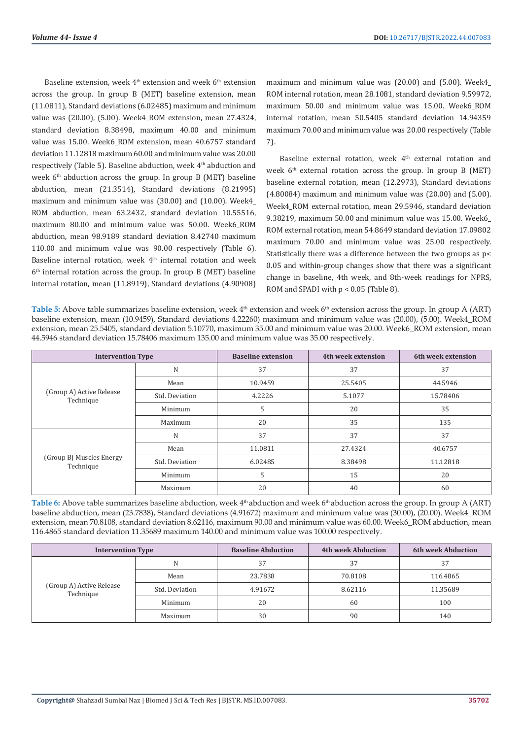Baseline extension, week  $4<sup>th</sup>$  extension and week  $6<sup>th</sup>$  extension across the group. In group B (MET) baseline extension, mean (11.0811), Standard deviations (6.02485) maximum and minimum value was (20.00), (5.00). Week4\_ROM extension, mean 27.4324, standard deviation 8.38498, maximum 40.00 and minimum value was 15.00. Week6 ROM extension, mean 40.6757 standard deviation 11.12818 maximum 60.00 and minimum value was 20.00 respectively (Table 5). Baseline abduction, week 4th abduction and week  $6<sup>th</sup>$  abduction across the group. In group B (MET) baseline abduction, mean (21.3514), Standard deviations (8.21995) maximum and minimum value was (30.00) and (10.00). Week4\_ ROM abduction, mean 63.2432, standard deviation 10.55516, maximum 80.00 and minimum value was 50.00. Week6\_ROM abduction, mean 98.9189 standard deviation 8.42740 maximum 110.00 and minimum value was 90.00 respectively (Table 6). Baseline internal rotation, week 4<sup>th</sup> internal rotation and week 6th internal rotation across the group. In group B (MET) baseline internal rotation, mean (11.8919), Standard deviations (4.90908)

maximum and minimum value was (20.00) and (5.00). Week4\_ ROM internal rotation, mean 28.1081, standard deviation 9.59972, maximum 50.00 and minimum value was 15.00. Week6\_ROM internal rotation, mean 50.5405 standard deviation 14.94359 maximum 70.00 and minimum value was 20.00 respectively (Table 7).

Baseline external rotation, week 4<sup>th</sup> external rotation and week  $6<sup>th</sup>$  external rotation across the group. In group B (MET) baseline external rotation, mean (12.2973), Standard deviations (4.80084) maximum and minimum value was (20.00) and (5.00). Week4\_ROM external rotation, mean 29.5946, standard deviation 9.38219, maximum 50.00 and minimum value was 15.00. Week6\_ ROM external rotation, mean 54.8649 standard deviation 17.09802 maximum 70.00 and minimum value was 25.00 respectively. Statistically there was a difference between the two groups as p< 0.05 and within-group changes show that there was a significant change in baseline, 4th week, and 8th-week readings for NPRS, ROM and SPADI with p < 0.05 (Table 8).

**Table 5:** Above table summarizes baseline extension, week 4<sup>th</sup> extension and week 6<sup>th</sup> extension across the group. In group A (ART) baseline extension, mean (10.9459), Standard deviations 4.22260) maximum and minimum value was (20.00), (5.00). Week4\_ROM extension, mean 25.5405, standard deviation 5.10770, maximum 35.00 and minimum value was 20.00. Week6\_ROM extension, mean 44.5946 standard deviation 15.78406 maximum 135.00 and minimum value was 35.00 respectively.

| <b>Intervention Type</b>              |                | <b>Baseline extension</b> | 4th week extension | 6th week extension |
|---------------------------------------|----------------|---------------------------|--------------------|--------------------|
|                                       | N              | 37                        | 37                 | 37                 |
|                                       | Mean           | 10.9459                   | 25.5405            | 44.5946            |
| (Group A) Active Release<br>Technique | Std. Deviation | 4.2226                    | 5.1077             | 15.78406           |
|                                       | Minimum        | 5                         | 20                 | 35                 |
|                                       | Maximum        | 20                        | 35                 | 135                |
|                                       | N              | 37                        | 37                 | 37                 |
|                                       | Mean           | 11.0811                   | 27.4324            | 40.6757            |
| (Group B) Muscles Energy<br>Technique | Std. Deviation | 6.02485                   | 8.38498            | 11.12818           |
|                                       | Minimum        | 5                         | 15                 | 20                 |
|                                       | Maximum        | 20                        | 40                 | 60                 |

Table 6: Above table summarizes baseline abduction, week 4<sup>th</sup> abduction and week 6<sup>th</sup> abduction across the group. In group A (ART) baseline abduction, mean (23.7838), Standard deviations (4.91672) maximum and minimum value was (30.00), (20.00). Week4\_ROM extension, mean 70.8108, standard deviation 8.62116, maximum 90.00 and minimum value was 60.00. Week6\_ROM abduction, mean 116.4865 standard deviation 11.35689 maximum 140.00 and minimum value was 100.00 respectively.

| <b>Intervention Type</b>              |                | <b>Baseline Abduction</b> | <b>4th week Abduction</b> | <b>6th week Abduction</b> |
|---------------------------------------|----------------|---------------------------|---------------------------|---------------------------|
|                                       | N              | 37                        | 37                        | 37                        |
| (Group A) Active Release<br>Technique | Mean           | 23.7838                   | 70.8108                   | 116.4865                  |
|                                       | Std. Deviation | 4.91672                   | 8.62116                   | 11.35689                  |
|                                       | Minimum        | 20                        | 60                        | 100                       |
|                                       | Maximum        | 30                        | 90                        | 140                       |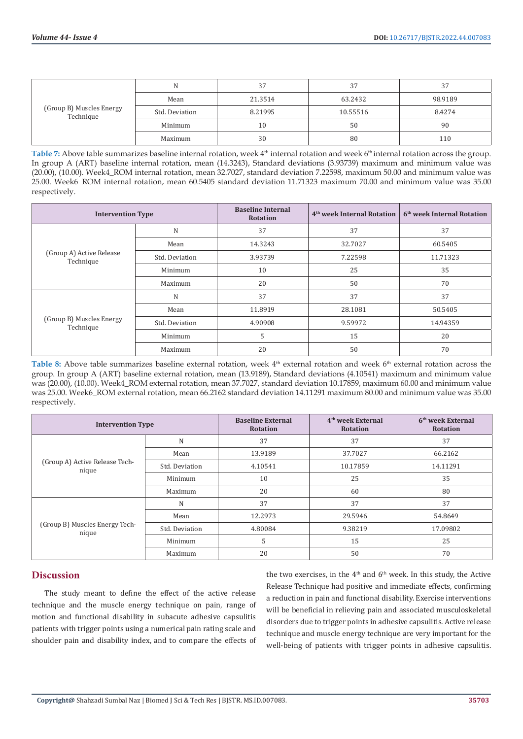| (Group B) Muscles Energy<br>Technique |                | 37      | 37       |         |
|---------------------------------------|----------------|---------|----------|---------|
|                                       | Mean           | 21.3514 | 63.2432  | 98.9189 |
|                                       | Std. Deviation | 8.21995 | 10.55516 | 8.4274  |
|                                       | Minimum        | 10      | 50       | 90      |
|                                       | Maximum        | 30      | 80       | 110     |

Table 7: Above table summarizes baseline internal rotation, week 4<sup>th</sup> internal rotation and week 6<sup>th</sup> internal rotation across the group. In group A (ART) baseline internal rotation, mean (14.3243), Standard deviations (3.93739) maximum and minimum value was (20.00), (10.00). Week4\_ROM internal rotation, mean 32.7027, standard deviation 7.22598, maximum 50.00 and minimum value was 25.00. Week6\_ROM internal rotation, mean 60.5405 standard deviation 11.71323 maximum 70.00 and minimum value was 35.00 respectively.

| <b>Intervention Type</b>              |                | <b>Baseline Internal</b><br><b>Rotation</b> | 4 <sup>th</sup> week Internal Rotation | 6 <sup>th</sup> week Internal Rotation |
|---------------------------------------|----------------|---------------------------------------------|----------------------------------------|----------------------------------------|
|                                       | N              | 37                                          | 37                                     | 37                                     |
|                                       | Mean           | 14.3243                                     | 32.7027                                | 60.5405                                |
| (Group A) Active Release<br>Technique | Std. Deviation | 3.93739                                     | 7.22598                                | 11.71323                               |
|                                       | Minimum        | 10                                          | 25                                     | 35                                     |
|                                       | Maximum        | 20                                          | 50                                     | 70                                     |
|                                       | N              | 37                                          | 37                                     | 37                                     |
|                                       | Mean           | 11.8919                                     | 28.1081                                | 50.5405                                |
| (Group B) Muscles Energy<br>Technique | Std. Deviation | 4.90908                                     | 9.59972                                | 14.94359                               |
|                                       | Minimum        | 5                                           | 15                                     | 20                                     |
|                                       | Maximum        | 20                                          | 50                                     | 70                                     |

Table 8: Above table summarizes baseline external rotation, week 4<sup>th</sup> external rotation and week 6<sup>th</sup> external rotation across the group. In group A (ART) baseline external rotation, mean (13.9189), Standard deviations (4.10541) maximum and minimum value was (20.00), (10.00). Week4\_ROM external rotation, mean 37.7027, standard deviation 10.17859, maximum 60.00 and minimum value was 25.00. Week6\_ROM external rotation, mean 66.2162 standard deviation 14.11291 maximum 80.00 and minimum value was 35.00 respectively.

| <b>Intervention Type</b>                |                | <b>Baseline External</b><br><b>Rotation</b> | 4 <sup>th</sup> week External<br><b>Rotation</b> | 6 <sup>th</sup> week External<br><b>Rotation</b> |
|-----------------------------------------|----------------|---------------------------------------------|--------------------------------------------------|--------------------------------------------------|
|                                         | N              | 37                                          | 37                                               | 37                                               |
|                                         | Mean           | 13.9189                                     | 37.7027                                          | 66.2162                                          |
| (Group A) Active Release Tech-<br>nique | Std. Deviation | 4.10541                                     | 10.17859                                         | 14.11291                                         |
|                                         | Minimum        | 10                                          | 25                                               | 35                                               |
|                                         | Maximum        | 20                                          | 60                                               | 80                                               |
|                                         | N              | 37                                          | 37                                               | 37                                               |
|                                         | Mean           | 12.2973                                     | 29.5946                                          | 54.8649                                          |
| (Group B) Muscles Energy Tech-<br>nique | Std. Deviation | 4.80084                                     | 9.38219                                          | 17.09802                                         |
|                                         | Minimum        | 5                                           | 15                                               | 25                                               |
|                                         | Maximum        | 20                                          | 50                                               | 70                                               |

# **Discussion**

The study meant to define the effect of the active release technique and the muscle energy technique on pain, range of motion and functional disability in subacute adhesive capsulitis patients with trigger points using a numerical pain rating scale and shoulder pain and disability index, and to compare the effects of the two exercises, in the  $4<sup>th</sup>$  and  $6<sup>th</sup>$  week. In this study, the Active Release Technique had positive and immediate effects, confirming a reduction in pain and functional disability. Exercise interventions will be beneficial in relieving pain and associated musculoskeletal disorders due to trigger points in adhesive capsulitis. Active release technique and muscle energy technique are very important for the well-being of patients with trigger points in adhesive capsulitis.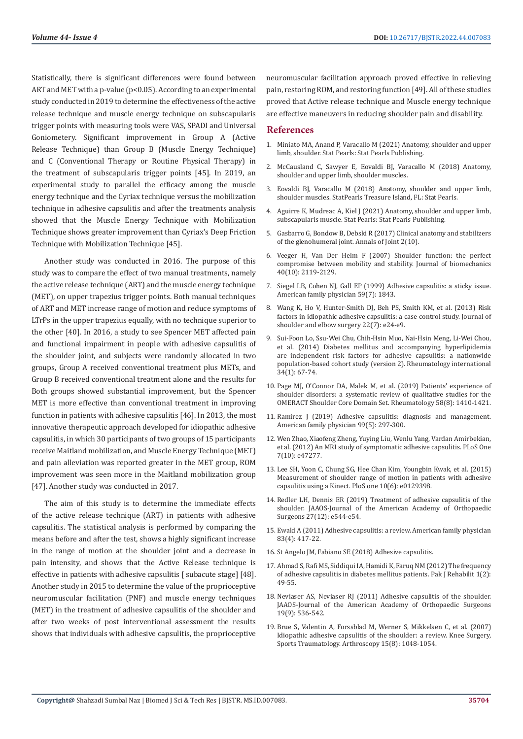Statistically, there is significant differences were found between ART and MET with a p-value (p<0.05). According to an experimental study conducted in 2019 to determine the effectiveness of the active release technique and muscle energy technique on subscapularis trigger points with measuring tools were VAS, SPADI and Universal Goniometery. Significant improvement in Group A (Active Release Technique) than Group B (Muscle Energy Technique) and C (Conventional Therapy or Routine Physical Therapy) in the treatment of subscapularis trigger points [45]. In 2019, an experimental study to parallel the efficacy among the muscle energy technique and the Cyriax technique versus the mobilization technique in adhesive capsulitis and after the treatments analysis showed that the Muscle Energy Technique with Mobilization Technique shows greater improvement than Cyriax's Deep Friction Technique with Mobilization Technique [45].

Another study was conducted in 2016. The purpose of this study was to compare the effect of two manual treatments, namely the active release technique (ART) and the muscle energy technique (MET), on upper trapezius trigger points. Both manual techniques of ART and MET increase range of motion and reduce symptoms of LTrPs in the upper trapezius equally, with no technique superior to the other [40]. In 2016, a study to see Spencer MET affected pain and functional impairment in people with adhesive capsulitis of the shoulder joint, and subjects were randomly allocated in two groups, Group A received conventional treatment plus METs, and Group B received conventional treatment alone and the results for Both groups showed substantial improvement, but the Spencer MET is more effective than conventional treatment in improving function in patients with adhesive capsulitis [46]. In 2013, the most innovative therapeutic approach developed for idiopathic adhesive capsulitis, in which 30 participants of two groups of 15 participants receive Maitland mobilization, and Muscle Energy Technique (MET) and pain alleviation was reported greater in the MET group, ROM improvement was seen more in the Maitland mobilization group [47]. Another study was conducted in 2017.

The aim of this study is to determine the immediate effects of the active release technique (ART) in patients with adhesive capsulitis. The statistical analysis is performed by comparing the means before and after the test, shows a highly significant increase in the range of motion at the shoulder joint and a decrease in pain intensity, and shows that the Active Release technique is effective in patients with adhesive capsulitis [ subacute stage] [48]. Another study in 2015 to determine the value of the proprioceptive neuromuscular facilitation (PNF) and muscle energy techniques (MET) in the treatment of adhesive capsulitis of the shoulder and after two weeks of post interventional assessment the results shows that individuals with adhesive capsulitis, the proprioceptive

neuromuscular facilitation approach proved effective in relieving pain, restoring ROM, and restoring function [49]. All of these studies proved that Active release technique and Muscle energy technique are effective maneuvers in reducing shoulder pain and disability.

## **References**

- 1. [Miniato MA, Anand P, Varacallo M \(2021\) Anatomy, shoulder and upper](https://pubmed.ncbi.nlm.nih.gov/30725618/) [limb, shoulder. Stat Pearls: Stat Pearls Publishing.](https://pubmed.ncbi.nlm.nih.gov/30725618/)
- 2. [McCausland C, Sawyer E, Eovaldi BJ, Varacallo M \(2018\) Anatomy,](https://pubmed.ncbi.nlm.nih.gov/30521257/) [shoulder and upper limb, shoulder muscles.](https://pubmed.ncbi.nlm.nih.gov/30521257/)
- 3. [Eovaldi BJ, Varacallo M \(2018\) Anatomy, shoulder and upper limb,](https://www.ncbi.nlm.nih.gov/books/NBK534836/) [shoulder muscles. StatPearls Treasure Island, FL: Stat Pearls.](https://www.ncbi.nlm.nih.gov/books/NBK534836/)
- 4. [Aguirre K, Mudreac A, Kiel J \(2021\) Anatomy, shoulder and upper limb,](https://www.ncbi.nlm.nih.gov/books/NBK513344/) [subscapularis muscle. Stat Pearls: Stat Pearls Publishing.](https://www.ncbi.nlm.nih.gov/books/NBK513344/)
- 5. [Gasbarro G, Bondow B, Debski R \(2017\) Clinical anatomy and stabilizers](jhttps://www.researchgate.net/publication/321078852_Clinical_Anatomy_and_Stabilizers_of_the_Glenohumeral_Joint) [of the glenohumeral joint. Annals of Joint 2\(10\).](jhttps://www.researchgate.net/publication/321078852_Clinical_Anatomy_and_Stabilizers_of_the_Glenohumeral_Joint)
- 6. [Veeger H, Van Der Helm F \(2007\) Shoulder function: the perfect](https://europepmc.org/article/med/17222853) [compromise between mobility and stability. Journal of biomechanics](https://europepmc.org/article/med/17222853) [40\(10\): 2119-2129.](https://europepmc.org/article/med/17222853)
- 7. [Siegel LB, Cohen NJ, Gall EP \(1999\) Adhesive capsulitis: a sticky issue.](https://pubmed.ncbi.nlm.nih.gov/10208704/) [American family physician 59\(7\): 1843.](https://pubmed.ncbi.nlm.nih.gov/10208704/)
- 8. [Wang K, Ho V, Hunter-Smith DJ, Beh PS, Smith KM, et al. \(2013\) Risk](https://pubmed.ncbi.nlm.nih.gov/23352186/) [factors in idiopathic adhesive capsulitis: a case control study. Journal of](https://pubmed.ncbi.nlm.nih.gov/23352186/) [shoulder and elbow surgery 22\(7\): e24-e9.](https://pubmed.ncbi.nlm.nih.gov/23352186/)
- 9. [Sui-Foon Lo, Ssu-Wei Chu, Chih-Hsin Muo, Nai-Hsin Meng, Li-Wei Chou,](https://link.springer.com/article/10.1007/s00296-013-2847-4) [et al. \(2014\) Diabetes mellitus and accompanying hyperlipidemia](https://link.springer.com/article/10.1007/s00296-013-2847-4) [are independent risk factors for adhesive capsulitis: a nationwide](https://link.springer.com/article/10.1007/s00296-013-2847-4) [population-based cohort study \(version 2\). Rheumatology international](https://link.springer.com/article/10.1007/s00296-013-2847-4) [34\(1\): 67-74.](https://link.springer.com/article/10.1007/s00296-013-2847-4)
- 10. Page MJ, O'Connor DA, Malek M, et al. (2019) Patients' experience of shoulder disorders: a systematic review of qualitative studies for the OMERACT Shoulder Core Domain Set. Rheumatology 58(8): 1410-1421.
- 11. [Ramirez J \(2019\) Adhesive capsulitis: diagnosis and management.](https://pubmed.ncbi.nlm.nih.gov/30811157/) [American family physician 99\(5\): 297-300.](https://pubmed.ncbi.nlm.nih.gov/30811157/)
- 12. [Wen Zhao, Xiaofeng Zheng, Yuying Liu, Wenlu Yang, Vardan Amirbekian,](https://pubmed.ncbi.nlm.nih.gov/23082152/) [et al. \(2012\) An MRI study of symptomatic adhesive capsulitis. PLoS One](https://pubmed.ncbi.nlm.nih.gov/23082152/) [7\(10\): e47277.](https://pubmed.ncbi.nlm.nih.gov/23082152/)
- 13. [Lee SH, Yoon C, Chung SG, Hee Chan Kim, Youngbin Kwak, et al. \(2015\)](https://pubmed.ncbi.nlm.nih.gov/26107943/) [Measurement of shoulder range of motion in patients with adhesive](https://pubmed.ncbi.nlm.nih.gov/26107943/) [capsulitis using a Kinect. PloS one 10\(6\): e0129398.](https://pubmed.ncbi.nlm.nih.gov/26107943/)
- 14. [Redler LH, Dennis ER \(2019\) Treatment of adhesive capsulitis of the](https://pubmed.ncbi.nlm.nih.gov/30632986/) [shoulder. JAAOS-Journal of the American Academy of Orthopaedic](https://pubmed.ncbi.nlm.nih.gov/30632986/) [Surgeons 27\(12\): e544-e54.](https://pubmed.ncbi.nlm.nih.gov/30632986/)
- 15. [Ewald A \(2011\) Adhesive capsulitis: a review. American family physician](https://pubmed.ncbi.nlm.nih.gov/21322517/) [83\(4\): 417-22.](https://pubmed.ncbi.nlm.nih.gov/21322517/)
- 16. [St Angelo JM, Fabiano SE \(2018\) Adhesive capsulitis.](https://pubmed.ncbi.nlm.nih.gov/30422550/)
- 17. Ahmad S, Rafi MS, Siddiqui IA, Hamidi K, Faruq NM (2012) The frequency of adhesive capsulitis in diabetes mellitus patients. Pak J Rehabilit 1(2): 49-55.
- 18. [Neviaser AS, Neviaser RJ \(2011\) Adhesive capsulitis of the shoulder.](https://pubmed.ncbi.nlm.nih.gov/21885699/) [JAAOS-Journal of the American Academy of Orthopaedic Surgeons](https://pubmed.ncbi.nlm.nih.gov/21885699/) [19\(9\): 536-542.](https://pubmed.ncbi.nlm.nih.gov/21885699/)
- 19. [Brue S, Valentin A, Forssblad M, Werner S, Mikkelsen C, et al. \(2007\)](https://pubmed.ncbi.nlm.nih.gov/17333122/) [Idiopathic adhesive capsulitis of the shoulder: a review. Knee Surgery,](https://pubmed.ncbi.nlm.nih.gov/17333122/) [Sports Traumatology. Arthroscopy 15\(8\): 1048-1054.](https://pubmed.ncbi.nlm.nih.gov/17333122/)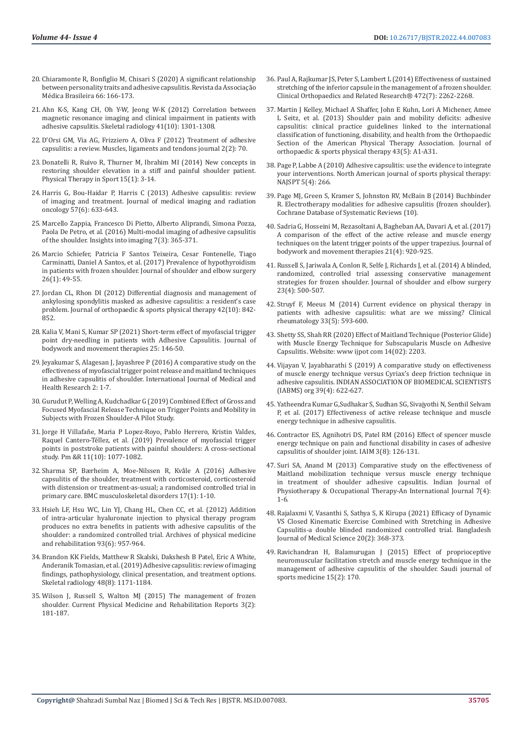- 20. [Chiaramonte R, Bonfiglio M, Chisari S \(2020\) A significant relationship](https://www.researchgate.net/publication/341496583_A_significant_relationship_between_personality_traits_and_adhesive_capsulitis)  [between personality traits and adhesive capsulitis. Revista da Associação](https://www.researchgate.net/publication/341496583_A_significant_relationship_between_personality_traits_and_adhesive_capsulitis)  [Médica Brasileira 66: 166-173.](https://www.researchgate.net/publication/341496583_A_significant_relationship_between_personality_traits_and_adhesive_capsulitis)
- 21. [Ahn K-S, Kang CH, Oh Y-W, Jeong W-K \(2012\) Correlation between](https://pubmed.ncbi.nlm.nih.gov/22430562/)  [magnetic resonance imaging and clinical impairment in patients with](https://pubmed.ncbi.nlm.nih.gov/22430562/)  [adhesive capsulitis. Skeletal radiology 41\(10\): 1301-1308.](https://pubmed.ncbi.nlm.nih.gov/22430562/)
- 22. [D'Orsi GM, Via AG, Frizziero A, Oliva F \(2012\) Treatment of adhesive](https://pubmed.ncbi.nlm.nih.gov/23738277/)  [capsulitis: a review. Muscles, ligaments and tendons journal 2\(2\): 70.](https://pubmed.ncbi.nlm.nih.gov/23738277/)
- 23. [Donatelli R, Ruivo R, Thurner M, Ibrahim MI \(2014\) New concepts in](https://pubmed.ncbi.nlm.nih.gov/24315683/)  [restoring shoulder elevation in a stiff and painful shoulder patient.](https://pubmed.ncbi.nlm.nih.gov/24315683/)  [Physical Therapy in Sport 15\(1\): 3-14.](https://pubmed.ncbi.nlm.nih.gov/24315683/)
- 24. [Harris G, Bou-Haidar P, Harris C \(2013\) Adhesive capsulitis: review](https://pubmed.ncbi.nlm.nih.gov/24283550/)  [of imaging and treatment. Journal of medical imaging and radiation](https://pubmed.ncbi.nlm.nih.gov/24283550/)  [oncology 57\(6\): 633-643.](https://pubmed.ncbi.nlm.nih.gov/24283550/)
- 25. [Marcello Zappia, Francesco Di Pietto, Alberto Aliprandi, Simona Pozza,](https://www.ncbi.nlm.nih.gov/pmc/articles/PMC4877356/)  [Paola De Petro, et al. \(2016\) Multi-modal imaging of adhesive capsulitis](https://www.ncbi.nlm.nih.gov/pmc/articles/PMC4877356/)  [of the shoulder. Insights into imaging 7\(3\): 365-371.](https://www.ncbi.nlm.nih.gov/pmc/articles/PMC4877356/)
- 26. [Marcio Schiefer, Patricia F Santos Teixeira, Cesar Fontenelle, Tiago](https://pubmed.ncbi.nlm.nih.gov/27424251/)  [Carminatti, Daniel A Santos, et al. \(2017\) Prevalence of hypothyroidism](https://pubmed.ncbi.nlm.nih.gov/27424251/)  [in patients with frozen shoulder. Journal of shoulder and elbow surgery](https://pubmed.ncbi.nlm.nih.gov/27424251/)  [26\(1\): 49-55.](https://pubmed.ncbi.nlm.nih.gov/27424251/)
- 27. [Jordan CL, Rhon DI \(2012\) Differential diagnosis and management of](https://pubmed.ncbi.nlm.nih.gov/22836244/)  [ankylosing spondylitis masked as adhesive capsulitis: a resident's case](https://pubmed.ncbi.nlm.nih.gov/22836244/)  [problem. Journal of orthopaedic & sports physical therapy 42\(10\): 842-](https://pubmed.ncbi.nlm.nih.gov/22836244/) [852.](https://pubmed.ncbi.nlm.nih.gov/22836244/)
- 28. [Kalia V, Mani S, Kumar SP \(2021\) Short-term effect of myofascial trigger](https://pubmed.ncbi.nlm.nih.gov/33714486/)  [point dry-needling in patients with Adhesive Capsulitis. Journal of](https://pubmed.ncbi.nlm.nih.gov/33714486/)  [bodywork and movement therapies 25: 146-50.](https://pubmed.ncbi.nlm.nih.gov/33714486/)
- 29. [Jeyakumar S, Alagesan J, Jayashree P \(2016\) A comparative study on the](https://www.semanticscholar.org/paper/A-COMPARATIVE-STUDY-ON-THE-EFFECTIVENESS-OF-TRIGGER-Jeyakumar-Alagesan/f6777b54ef48a993e410c02c485a65bafd579313)  [effectiveness of myofascial trigger point release and maitland techniques](https://www.semanticscholar.org/paper/A-COMPARATIVE-STUDY-ON-THE-EFFECTIVENESS-OF-TRIGGER-Jeyakumar-Alagesan/f6777b54ef48a993e410c02c485a65bafd579313)  [in adhesive capsulitis of shoulder. International Journal of Medical and](https://www.semanticscholar.org/paper/A-COMPARATIVE-STUDY-ON-THE-EFFECTIVENESS-OF-TRIGGER-Jeyakumar-Alagesan/f6777b54ef48a993e410c02c485a65bafd579313)  [Health Research 2: 1-7.](https://www.semanticscholar.org/paper/A-COMPARATIVE-STUDY-ON-THE-EFFECTIVENESS-OF-TRIGGER-Jeyakumar-Alagesan/f6777b54ef48a993e410c02c485a65bafd579313)
- 30. [Gurudut P, Welling A, Kudchadkar G \(2019\) Combined Effect of Gross and](file:///F:/New%20Journals/BJSTR.MS.ID.007083/BJSTR-SPT-22-RA-339_W/BJSTR-SPT-22-RA-339_W/ijhsr.org/IJHSR_Vol.9_Issue.4_April2019/10.pdf)  [Focused Myofascial Release Technique on Trigger Points and Mobility in](file:///F:/New%20Journals/BJSTR.MS.ID.007083/BJSTR-SPT-22-RA-339_W/BJSTR-SPT-22-RA-339_W/ijhsr.org/IJHSR_Vol.9_Issue.4_April2019/10.pdf)  [Subjects with Frozen Shoulder-A Pilot Study.](file:///F:/New%20Journals/BJSTR.MS.ID.007083/BJSTR-SPT-22-RA-339_W/BJSTR-SPT-22-RA-339_W/ijhsr.org/IJHSR_Vol.9_Issue.4_April2019/10.pdf)
- 31. [Jorge H Villafañe, Maria P Lopez-Royo, Pablo Herrero, Kristin Valdes,](https://pubmed.ncbi.nlm.nih.gov/30734521/)  [Raquel Cantero-Téllez, et al. \(2019\) Prevalence of myofascial trigger](https://pubmed.ncbi.nlm.nih.gov/30734521/)  [points in poststroke patients with painful shoulders: A cross-sectional](https://pubmed.ncbi.nlm.nih.gov/30734521/)  [study. Pm &R 11\(10\): 1077-1082.](https://pubmed.ncbi.nlm.nih.gov/30734521/)
- 32. Sharma SP, Bærheim A, Moe-Nilssen R, Kvåle A (2016) Adhesive capsulitis of the shoulder, treatment with corticosteroid, corticosteroid with distension or treatment-as-usual; a randomised controlled trial in primary care. BMC musculoskeletal disorders 17(1): 1-10.
- 33. [Hsieh LF, Hsu WC, Lin YJ, Chang HL, Chen CC, et al. \(2012\) Addition](https://pubmed.ncbi.nlm.nih.gov/22502793/)  [of intra-articular hyaluronate injection to physical therapy program](https://pubmed.ncbi.nlm.nih.gov/22502793/)  [produces no extra benefits in patients with adhesive capsulitis of the](https://pubmed.ncbi.nlm.nih.gov/22502793/)  [shoulder: a randomized controlled trial. Archives of physical medicine](https://pubmed.ncbi.nlm.nih.gov/22502793/)  [and rehabilitation 93\(6\): 957-964.](https://pubmed.ncbi.nlm.nih.gov/22502793/)
- 34. [Brandon KK Fields, Matthew R Skalski, Dakshesh B Patel, Eric A White,](https://pubmed.ncbi.nlm.nih.gov/30607455/)  [Anderanik Tomasian, et al. \(2019\) Adhesive capsulitis: review of imaging](https://pubmed.ncbi.nlm.nih.gov/30607455/)  [findings, pathophysiology, clinical presentation, and treatment options.](https://pubmed.ncbi.nlm.nih.gov/30607455/)  [Skeletal radiology 48\(8\): 1171-1184.](https://pubmed.ncbi.nlm.nih.gov/30607455/)
- 35. [Wilson J, Russell S, Walton MJ \(2015\) The management of frozen](https://www.semanticscholar.org/paper/The-Management-of-Frozen-Shoulder-Wilson-Russell/a9798b6797a7c00bd646e1f372ce7b1b727a4606)  [shoulder. Current Physical Medicine and Rehabilitation Reports 3\(2\):](https://www.semanticscholar.org/paper/The-Management-of-Frozen-Shoulder-Wilson-Russell/a9798b6797a7c00bd646e1f372ce7b1b727a4606)  [181-187.](https://www.semanticscholar.org/paper/The-Management-of-Frozen-Shoulder-Wilson-Russell/a9798b6797a7c00bd646e1f372ce7b1b727a4606)
- 36. [Paul A, Rajkumar JS, Peter S, Lambert L \(2014\) Effectiveness of sustained](https://pubmed.ncbi.nlm.nih.gov/24664198/) [stretching of the inferior capsule in the management of a frozen shoulder.](https://pubmed.ncbi.nlm.nih.gov/24664198/) [Clinical Orthopaedics and Related Research® 472\(7\): 2262-2268.](https://pubmed.ncbi.nlm.nih.gov/24664198/)
- 37. [Martin J Kelley, Michael A Shaffer, John E Kuhn, Lori A Michener, Amee](https://pubmed.ncbi.nlm.nih.gov/23636125/) [L Seitz, et al. \(2013\) Shoulder pain and mobility deficits: adhesive](https://pubmed.ncbi.nlm.nih.gov/23636125/) [capsulitis: clinical practice guidelines linked to the international](https://pubmed.ncbi.nlm.nih.gov/23636125/) [classification of functioning, disability, and health from the Orthopaedic](https://pubmed.ncbi.nlm.nih.gov/23636125/) [Section of the American Physical Therapy Association. Journal of](https://pubmed.ncbi.nlm.nih.gov/23636125/) [orthopaedic & sports physical therapy 43\(5\): A1-A31.](https://pubmed.ncbi.nlm.nih.gov/23636125/)
- 38. [Page P, Labbe A \(2010\) Adhesive capsulitis: use the evidence to integrate](https://pubmed.ncbi.nlm.nih.gov/21655385/) [your interventions. North American journal of sports physical therapy:](https://pubmed.ncbi.nlm.nih.gov/21655385/) [NAJSPT 5\(4\): 266.](https://pubmed.ncbi.nlm.nih.gov/21655385/)
- 39. [Page MJ, Green S, Kramer S, Johnston RV, McBain B \(2014\) Buchbinder](https://www.cochrane.org/CD011324/MUSKEL_electrotherapy-modalities-for-adhesive-capsulitis-frozen-shoulder) [R. Electrotherapy modalities for adhesive capsulitis \(frozen shoulder\).](https://www.cochrane.org/CD011324/MUSKEL_electrotherapy-modalities-for-adhesive-capsulitis-frozen-shoulder) [Cochrane Database of Systematic Reviews \(10\).](https://www.cochrane.org/CD011324/MUSKEL_electrotherapy-modalities-for-adhesive-capsulitis-frozen-shoulder)
- 40. [Sadria G, Hosseini M, Rezasoltani A, Bagheban AA, Davari A, et al. \(2017\)](https://pubmed.ncbi.nlm.nih.gov/29037649/https:/pubmed.ncbi.nlm.nih.gov/29037649/) [A comparison of the effect of the active release and muscle energy](https://pubmed.ncbi.nlm.nih.gov/29037649/https:/pubmed.ncbi.nlm.nih.gov/29037649/) [techniques on the latent trigger points of the upper trapezius. Journal of](https://pubmed.ncbi.nlm.nih.gov/29037649/https:/pubmed.ncbi.nlm.nih.gov/29037649/) [bodywork and movement therapies 21\(4\): 920-925.](https://pubmed.ncbi.nlm.nih.gov/29037649/https:/pubmed.ncbi.nlm.nih.gov/29037649/)
- 41. [Russell S, Jariwala A, Conlon R, Selfe J, Richards J, et al. \(2014\) A blinded,](https://pubmed.ncbi.nlm.nih.gov/24630545/) [randomized, controlled trial assessing conservative management](https://pubmed.ncbi.nlm.nih.gov/24630545/) [strategies for frozen shoulder. Journal of shoulder and elbow surgery](https://pubmed.ncbi.nlm.nih.gov/24630545/) [23\(4\): 500-507.](https://pubmed.ncbi.nlm.nih.gov/24630545/)
- 42. [Struyf F, Meeus M \(2014\) Current evidence on physical therapy in](https://pubmed.ncbi.nlm.nih.gov/24374758/) [patients with adhesive capsulitis: what are we missing? Clinical](https://pubmed.ncbi.nlm.nih.gov/24374758/) [rheumatology 33\(5\): 593-600.](https://pubmed.ncbi.nlm.nih.gov/24374758/)
- 43. [Shetty SS, Shah RR \(2020\) Effect of Maitland Technique \(Posterior Glide\)](https://medicopublication.com/index.php/ijpot/article/view/2646) [with Muscle Energy Technique for Subscapularis Muscle on Adhesive](https://medicopublication.com/index.php/ijpot/article/view/2646) [Capsulitis. Website: www ijpot com 14\(02\): 2203.](https://medicopublication.com/index.php/ijpot/article/view/2646)
- 44. [Vijayan V, Jayabharathi S \(2019\) A comparative study on effectiveness](https://biomedicineonline.org/index.php/home/article/view/144) [of muscle energy technique versus Cyriax's deep friction technique in](https://biomedicineonline.org/index.php/home/article/view/144) [adhesive capsulitis. INDIAN ASSOCIATION OF BIOMEDICAL SCIENTISTS](https://biomedicineonline.org/index.php/home/article/view/144) [\(IABMS\) org 39\(4\): 622-627.](https://biomedicineonline.org/index.php/home/article/view/144)
- 45. [Yatheendra Kumar G,Sudhakar S, Sudhan SG, Sivajyothi N, Senthil Selvam](https://scopeindex.org/handle/sc/700) [P, et al. \(2017\) Effectiveness of active release technique and muscle](https://scopeindex.org/handle/sc/700) [energy technique in adhesive capsulitis.](https://scopeindex.org/handle/sc/700)
- 46. [Contractor ES, Agnihotri DS, Patel RM \(2016\) Effect of spencer muscle](http://iaimjournal.com/wp-content/uploads/2016/08/iaim_2016_0308_17.pdf) [energy technique on pain and functional disability in cases of adhesive](http://iaimjournal.com/wp-content/uploads/2016/08/iaim_2016_0308_17.pdf) [capsulitis of shoulder joint. IAIM 3\(8\): 126-131.](http://iaimjournal.com/wp-content/uploads/2016/08/iaim_2016_0308_17.pdf)
- 47. Suri SA, Anand M (2013) Comparative study on the effectiveness of Maitland mobilization technique versus muscle energy technique in treatment of shoulder adhesive capsulitis. Indian Journal of Physiotherapy & Occupational Therapy-An International Journal 7(4): 1-6.
- 48. [Rajalaxmi V, Vasanthi S, Sathya S, K Kirupa \(2021\) Efficacy of Dynamic](https://www.researchgate.net/publication/348941072_Efficacy_of_Dynamic_VS_Closed_Kinematic_Exercise_Combined_with_Stretching_in_Adhesive_Capsulitis-_a_double_blinded_randomized_controlled_trial) [VS Closed Kinematic Exercise Combined with Stretching in Adhesive](https://www.researchgate.net/publication/348941072_Efficacy_of_Dynamic_VS_Closed_Kinematic_Exercise_Combined_with_Stretching_in_Adhesive_Capsulitis-_a_double_blinded_randomized_controlled_trial) [Capsulitis-a double blinded randomized controlled trial. Bangladesh](https://www.researchgate.net/publication/348941072_Efficacy_of_Dynamic_VS_Closed_Kinematic_Exercise_Combined_with_Stretching_in_Adhesive_Capsulitis-_a_double_blinded_randomized_controlled_trial) [Journal of Medical Science 20\(2\): 368-373.](https://www.researchgate.net/publication/348941072_Efficacy_of_Dynamic_VS_Closed_Kinematic_Exercise_Combined_with_Stretching_in_Adhesive_Capsulitis-_a_double_blinded_randomized_controlled_trial)
- 49. [Ravichandran H, Balamurugan J \(2015\) Effect of proprioceptive](https://www.researchgate.net/publication/276528032_Effect_of_proprioceptive_neuromuscular_facilitation_stretch_and_muscle_energy_technique_in_the_management_of_adhesive_capsulitis_of_the_shoulder) [neuromuscular facilitation stretch and muscle energy technique in the](https://www.researchgate.net/publication/276528032_Effect_of_proprioceptive_neuromuscular_facilitation_stretch_and_muscle_energy_technique_in_the_management_of_adhesive_capsulitis_of_the_shoulder) [management of adhesive capsulitis of the shoulder. Saudi journal of](https://www.researchgate.net/publication/276528032_Effect_of_proprioceptive_neuromuscular_facilitation_stretch_and_muscle_energy_technique_in_the_management_of_adhesive_capsulitis_of_the_shoulder) [sports medicine 15\(2\): 170.](https://www.researchgate.net/publication/276528032_Effect_of_proprioceptive_neuromuscular_facilitation_stretch_and_muscle_energy_technique_in_the_management_of_adhesive_capsulitis_of_the_shoulder)